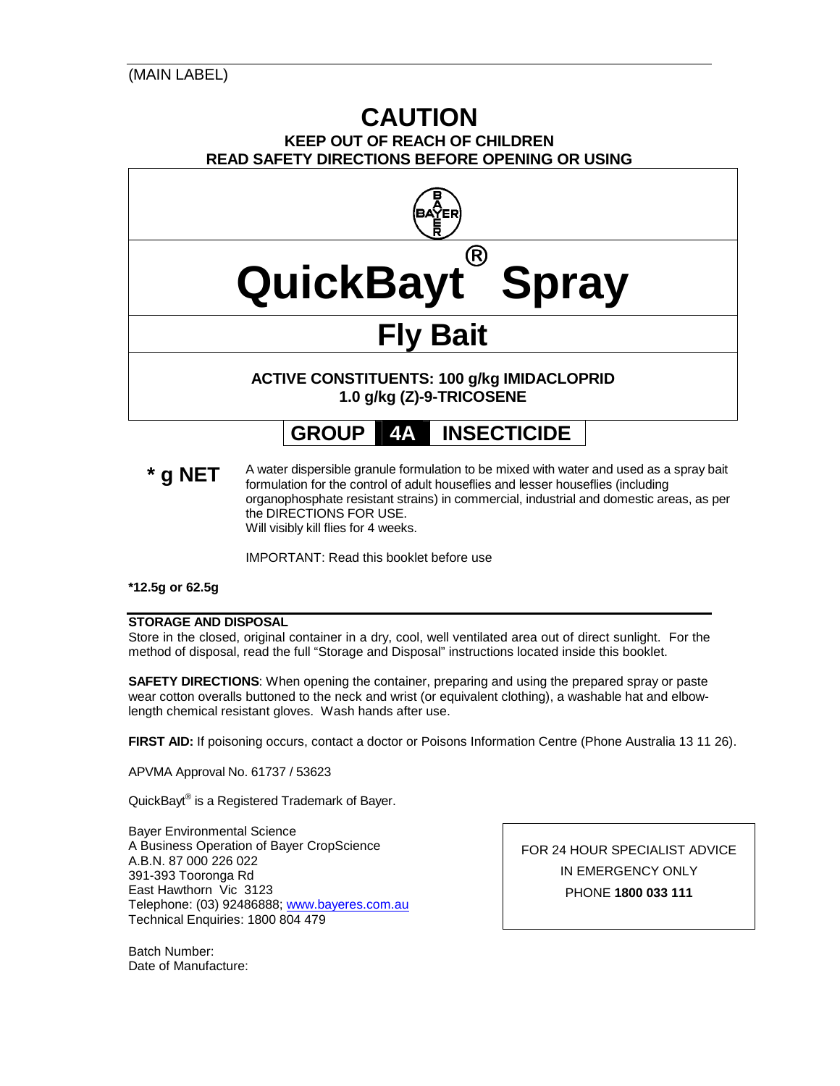# **CAUTION KEEP OUT OF REACH OF CHILDREN READ SAFETY DIRECTIONS BEFORE OPENING OR USING**



\* **g NET** A water dispersible granule formulation to be mixed with water and used as a spray bait formulation for the control of adult houseflies and lesser houseflies (including organophosphate resistant strains) in commercial, industrial and domestic areas, as per the DIRECTIONS FOR USE. Will visibly kill flies for 4 weeks.

IMPORTANT: Read this booklet before use

**\*12.5g or 62.5g** 

### **STORAGE AND DISPOSAL**

Store in the closed, original container in a dry, cool, well ventilated area out of direct sunlight. For the method of disposal, read the full "Storage and Disposal" instructions located inside this booklet.

**SAFETY DIRECTIONS**: When opening the container, preparing and using the prepared spray or paste wear cotton overalls buttoned to the neck and wrist (or equivalent clothing), a washable hat and elbowlength chemical resistant gloves. Wash hands after use.

**FIRST AID:** If poisoning occurs, contact a doctor or Poisons Information Centre (Phone Australia 13 11 26).

APVMA Approval No. 61737 / 53623

QuickBayt® is a Registered Trademark of Bayer.

Bayer Environmental Science A Business Operation of Bayer CropScience A.B.N. 87 000 226 022 391-393 Tooronga Rd East Hawthorn Vic 3123 Telephone: (03) 92486888; www.bayeres.com.au Technical Enquiries: 1800 804 479

Batch Number: Date of Manufacture: FOR 24 HOUR SPECIALIST ADVICE IN EMERGENCY ONLY PHONE **1800 033 111**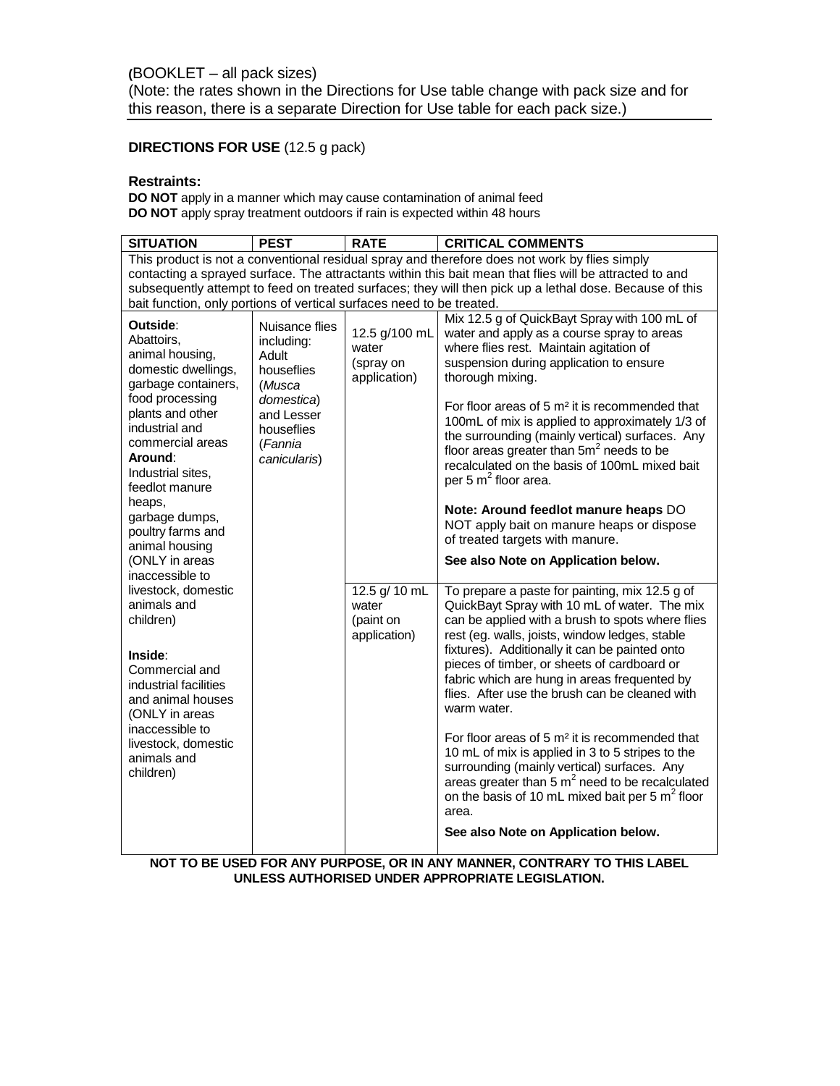# **DIRECTIONS FOR USE** (12.5 g pack)

## **Restraints:**

**DO NOT** apply in a manner which may cause contamination of animal feed **DO NOT** apply spray treatment outdoors if rain is expected within 48 hours

| <b>SITUATION</b>                                                                                                                                                                                                                                                                          | <b>PEST</b>                                                                                                                        | <b>RATE</b>                                         | <b>CRITICAL COMMENTS</b>                                                                                                                                                                                                                                                                                                                                                                                                                                                                                                                                                                                                   |  |  |  |  |
|-------------------------------------------------------------------------------------------------------------------------------------------------------------------------------------------------------------------------------------------------------------------------------------------|------------------------------------------------------------------------------------------------------------------------------------|-----------------------------------------------------|----------------------------------------------------------------------------------------------------------------------------------------------------------------------------------------------------------------------------------------------------------------------------------------------------------------------------------------------------------------------------------------------------------------------------------------------------------------------------------------------------------------------------------------------------------------------------------------------------------------------------|--|--|--|--|
|                                                                                                                                                                                                                                                                                           |                                                                                                                                    |                                                     | This product is not a conventional residual spray and therefore does not work by flies simply                                                                                                                                                                                                                                                                                                                                                                                                                                                                                                                              |  |  |  |  |
| contacting a sprayed surface. The attractants within this bait mean that flies will be attracted to and                                                                                                                                                                                   |                                                                                                                                    |                                                     |                                                                                                                                                                                                                                                                                                                                                                                                                                                                                                                                                                                                                            |  |  |  |  |
| subsequently attempt to feed on treated surfaces; they will then pick up a lethal dose. Because of this                                                                                                                                                                                   |                                                                                                                                    |                                                     |                                                                                                                                                                                                                                                                                                                                                                                                                                                                                                                                                                                                                            |  |  |  |  |
| bait function, only portions of vertical surfaces need to be treated.                                                                                                                                                                                                                     |                                                                                                                                    |                                                     |                                                                                                                                                                                                                                                                                                                                                                                                                                                                                                                                                                                                                            |  |  |  |  |
| Outside:<br>Abattoirs.<br>animal housing,<br>domestic dwellings,<br>garbage containers,<br>food processing<br>plants and other<br>industrial and<br>commercial areas<br>Around:<br>Industrial sites.<br>feedlot manure<br>heaps,<br>garbage dumps,<br>poultry farms and<br>animal housing | Nuisance flies<br>including:<br>Adult<br>houseflies<br>(Musca<br>domestica)<br>and Lesser<br>houseflies<br>(Fannia<br>canicularis) | 12.5 g/100 mL<br>water<br>(spray on<br>application) | Mix 12.5 g of QuickBayt Spray with 100 mL of<br>water and apply as a course spray to areas<br>where flies rest. Maintain agitation of<br>suspension during application to ensure<br>thorough mixing.<br>For floor areas of 5 m <sup>2</sup> it is recommended that<br>100mL of mix is applied to approximately 1/3 of<br>the surrounding (mainly vertical) surfaces. Any<br>floor areas greater than $5m2$ needs to be<br>recalculated on the basis of 100mL mixed bait<br>per 5 $m^2$ floor area.<br>Note: Around feedlot manure heaps DO<br>NOT apply bait on manure heaps or dispose<br>of treated targets with manure. |  |  |  |  |
| (ONLY in areas                                                                                                                                                                                                                                                                            |                                                                                                                                    |                                                     | See also Note on Application below.                                                                                                                                                                                                                                                                                                                                                                                                                                                                                                                                                                                        |  |  |  |  |
| inaccessible to<br>livestock, domestic<br>animals and<br>children)<br>Inside:<br>Commercial and<br>industrial facilities<br>and animal houses<br>(ONLY in areas<br>inaccessible to<br>livestock, domestic<br>animals and<br>children)                                                     |                                                                                                                                    | 12.5 g/ 10 mL<br>water<br>(paint on<br>application) | To prepare a paste for painting, mix 12.5 g of<br>QuickBayt Spray with 10 mL of water. The mix<br>can be applied with a brush to spots where flies<br>rest (eg. walls, joists, window ledges, stable<br>fixtures). Additionally it can be painted onto<br>pieces of timber, or sheets of cardboard or<br>fabric which are hung in areas frequented by                                                                                                                                                                                                                                                                      |  |  |  |  |
|                                                                                                                                                                                                                                                                                           |                                                                                                                                    |                                                     | flies. After use the brush can be cleaned with<br>warm water.<br>For floor areas of 5 $m2$ it is recommended that<br>10 mL of mix is applied in 3 to 5 stripes to the<br>surrounding (mainly vertical) surfaces. Any<br>areas greater than $5 \text{ m}^2$ need to be recalculated<br>on the basis of 10 mL mixed bait per 5 m <sup>2</sup> floor<br>area.                                                                                                                                                                                                                                                                 |  |  |  |  |
|                                                                                                                                                                                                                                                                                           |                                                                                                                                    |                                                     | See also Note on Application below.                                                                                                                                                                                                                                                                                                                                                                                                                                                                                                                                                                                        |  |  |  |  |

**NOT TO BE USED FOR ANY PURPOSE, OR IN ANY MANNER, CONTRARY TO THIS LABEL UNLESS AUTHORISED UNDER APPROPRIATE LEGISLATION.**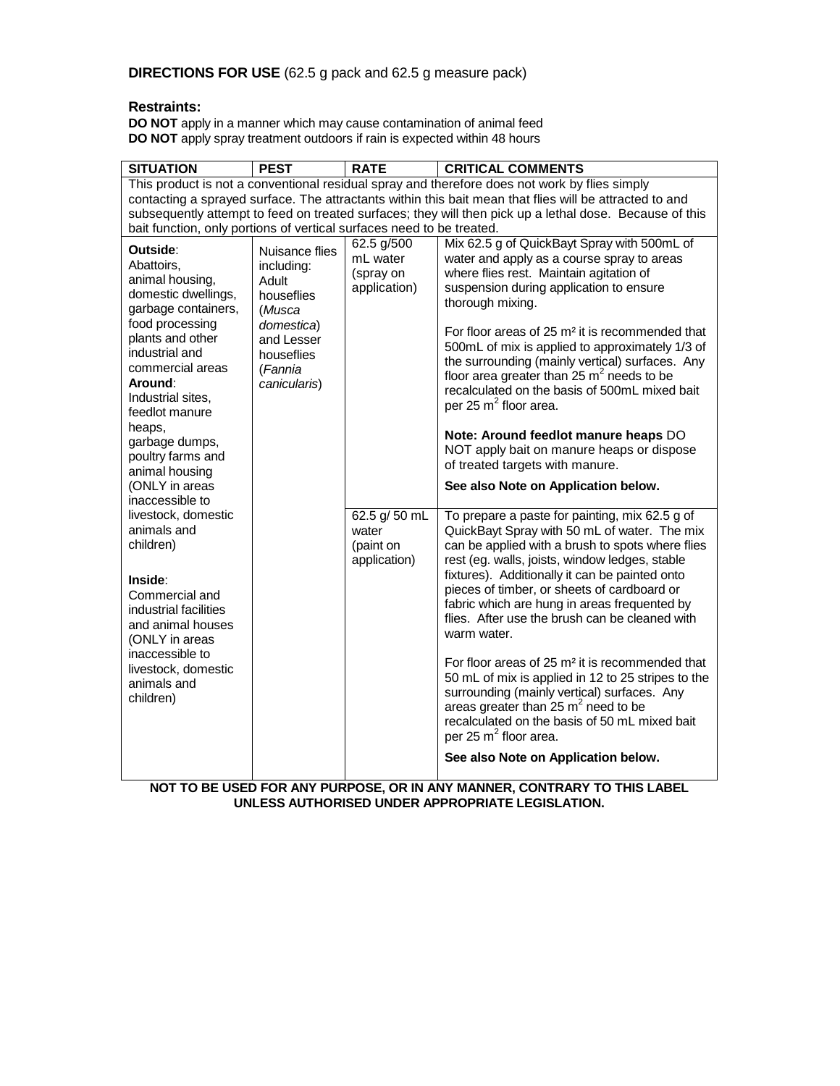# **Restraints:**

**DO NOT** apply in a manner which may cause contamination of animal feed **DO NOT** apply spray treatment outdoors if rain is expected within 48 hours

| <b>SITUATION</b>                                                                                                                                                                                                                                                        | <b>PEST</b>                                                                                                                        | <b>RATE</b>                                         | <b>CRITICAL COMMENTS</b>                                                                                                                                                                                                                                                                                                                                                                                                                                                                                                                                                                                                     |  |  |  |  |
|-------------------------------------------------------------------------------------------------------------------------------------------------------------------------------------------------------------------------------------------------------------------------|------------------------------------------------------------------------------------------------------------------------------------|-----------------------------------------------------|------------------------------------------------------------------------------------------------------------------------------------------------------------------------------------------------------------------------------------------------------------------------------------------------------------------------------------------------------------------------------------------------------------------------------------------------------------------------------------------------------------------------------------------------------------------------------------------------------------------------------|--|--|--|--|
|                                                                                                                                                                                                                                                                         |                                                                                                                                    |                                                     | This product is not a conventional residual spray and therefore does not work by flies simply                                                                                                                                                                                                                                                                                                                                                                                                                                                                                                                                |  |  |  |  |
| contacting a sprayed surface. The attractants within this bait mean that flies will be attracted to and                                                                                                                                                                 |                                                                                                                                    |                                                     |                                                                                                                                                                                                                                                                                                                                                                                                                                                                                                                                                                                                                              |  |  |  |  |
| subsequently attempt to feed on treated surfaces; they will then pick up a lethal dose. Because of this                                                                                                                                                                 |                                                                                                                                    |                                                     |                                                                                                                                                                                                                                                                                                                                                                                                                                                                                                                                                                                                                              |  |  |  |  |
| bait function, only portions of vertical surfaces need to be treated.                                                                                                                                                                                                   |                                                                                                                                    |                                                     |                                                                                                                                                                                                                                                                                                                                                                                                                                                                                                                                                                                                                              |  |  |  |  |
| Outside:<br>Abattoirs,<br>animal housing,<br>domestic dwellings,<br>garbage containers,<br>food processing<br>plants and other<br>industrial and<br>commercial areas<br>Around:<br>Industrial sites.<br>feedlot manure<br>heaps,<br>garbage dumps,<br>poultry farms and | Nuisance flies<br>including:<br>Adult<br>houseflies<br>(Musca<br>domestica)<br>and Lesser<br>houseflies<br>(Fannia<br>canicularis) | 62.5 g/500<br>mL water<br>(spray on<br>application) | Mix 62.5 g of QuickBayt Spray with 500mL of<br>water and apply as a course spray to areas<br>where flies rest. Maintain agitation of<br>suspension during application to ensure<br>thorough mixing.<br>For floor areas of 25 m <sup>2</sup> it is recommended that<br>500mL of mix is applied to approximately 1/3 of<br>the surrounding (mainly vertical) surfaces. Any<br>floor area greater than 25 $m2$ needs to be<br>recalculated on the basis of 500mL mixed bait<br>per 25 $m^2$ floor area.<br>Note: Around feedlot manure heaps DO<br>NOT apply bait on manure heaps or dispose<br>of treated targets with manure. |  |  |  |  |
| animal housing<br>(ONLY in areas                                                                                                                                                                                                                                        |                                                                                                                                    |                                                     | See also Note on Application below.                                                                                                                                                                                                                                                                                                                                                                                                                                                                                                                                                                                          |  |  |  |  |
| inaccessible to<br>livestock, domestic<br>animals and<br>children)<br>Inside:<br>Commercial and<br>industrial facilities<br>and animal houses<br>(ONLY in areas<br>inaccessible to<br>livestock, domestic<br>animals and<br>children)                                   |                                                                                                                                    | 62.5 g/ 50 mL<br>water<br>(paint on<br>application) | To prepare a paste for painting, mix 62.5 g of<br>QuickBayt Spray with 50 mL of water. The mix<br>can be applied with a brush to spots where flies<br>rest (eg. walls, joists, window ledges, stable<br>fixtures). Additionally it can be painted onto<br>pieces of timber, or sheets of cardboard or<br>fabric which are hung in areas frequented by<br>flies. After use the brush can be cleaned with<br>warm water.                                                                                                                                                                                                       |  |  |  |  |
|                                                                                                                                                                                                                                                                         |                                                                                                                                    |                                                     | For floor areas of $25 \text{ m}^2$ it is recommended that<br>50 mL of mix is applied in 12 to 25 stripes to the<br>surrounding (mainly vertical) surfaces. Any<br>areas greater than 25 $m2$ need to be<br>recalculated on the basis of 50 mL mixed bait<br>per 25 $m^2$ floor area.<br>See also Note on Application below.                                                                                                                                                                                                                                                                                                 |  |  |  |  |

**NOT TO BE USED FOR ANY PURPOSE, OR IN ANY MANNER, CONTRARY TO THIS LABEL UNLESS AUTHORISED UNDER APPROPRIATE LEGISLATION.**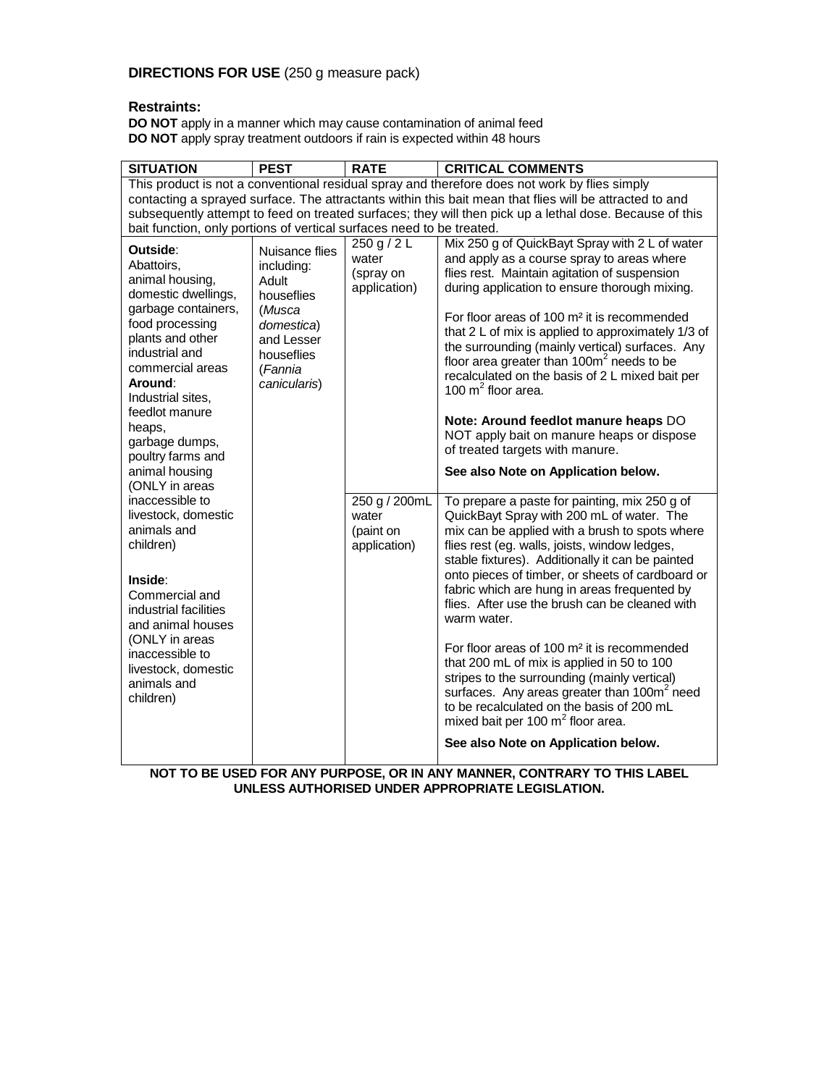## **DIRECTIONS FOR USE** (250 g measure pack)

# **Restraints:**

**DO NOT** apply in a manner which may cause contamination of animal feed **DO NOT** apply spray treatment outdoors if rain is expected within 48 hours

| <b>SITUATION</b>                                                                                                                                                                                                                                                                                                                                                                                                                                                               | <b>PEST</b>                                                                                                                        | <b>RATE</b>                                                                                              | <b>CRITICAL COMMENTS</b>                                                                                                                                                                                                                                                                                                                                                                                                                                                                                                                                                                                                                                                                                                                                                                                                                                                                                                                                                                                                                                                                  |  |  |  |  |
|--------------------------------------------------------------------------------------------------------------------------------------------------------------------------------------------------------------------------------------------------------------------------------------------------------------------------------------------------------------------------------------------------------------------------------------------------------------------------------|------------------------------------------------------------------------------------------------------------------------------------|----------------------------------------------------------------------------------------------------------|-------------------------------------------------------------------------------------------------------------------------------------------------------------------------------------------------------------------------------------------------------------------------------------------------------------------------------------------------------------------------------------------------------------------------------------------------------------------------------------------------------------------------------------------------------------------------------------------------------------------------------------------------------------------------------------------------------------------------------------------------------------------------------------------------------------------------------------------------------------------------------------------------------------------------------------------------------------------------------------------------------------------------------------------------------------------------------------------|--|--|--|--|
|                                                                                                                                                                                                                                                                                                                                                                                                                                                                                |                                                                                                                                    |                                                                                                          | This product is not a conventional residual spray and therefore does not work by flies simply                                                                                                                                                                                                                                                                                                                                                                                                                                                                                                                                                                                                                                                                                                                                                                                                                                                                                                                                                                                             |  |  |  |  |
| contacting a sprayed surface. The attractants within this bait mean that flies will be attracted to and                                                                                                                                                                                                                                                                                                                                                                        |                                                                                                                                    |                                                                                                          |                                                                                                                                                                                                                                                                                                                                                                                                                                                                                                                                                                                                                                                                                                                                                                                                                                                                                                                                                                                                                                                                                           |  |  |  |  |
| subsequently attempt to feed on treated surfaces; they will then pick up a lethal dose. Because of this<br>bait function, only portions of vertical surfaces need to be treated.                                                                                                                                                                                                                                                                                               |                                                                                                                                    |                                                                                                          |                                                                                                                                                                                                                                                                                                                                                                                                                                                                                                                                                                                                                                                                                                                                                                                                                                                                                                                                                                                                                                                                                           |  |  |  |  |
| Outside:<br>Abattoirs.<br>animal housing,<br>domestic dwellings,<br>garbage containers,<br>food processing<br>plants and other<br>industrial and<br>commercial areas<br>Around:<br>Industrial sites.<br>feedlot manure<br>heaps,<br>garbage dumps,<br>poultry farms and<br>animal housing<br>(ONLY in areas<br>inaccessible to<br>livestock, domestic<br>animals and<br>children)<br>Inside:<br>Commercial and<br>industrial facilities<br>and animal houses<br>(ONLY in areas | Nuisance flies<br>including:<br>Adult<br>houseflies<br>(Musca<br>domestica)<br>and Lesser<br>houseflies<br>(Fannia<br>canicularis) | 250 g / 2 L<br>water<br>(spray on<br>application)<br>250 g / 200mL<br>water<br>(paint on<br>application) | Mix 250 g of QuickBayt Spray with 2 L of water<br>and apply as a course spray to areas where<br>flies rest. Maintain agitation of suspension<br>during application to ensure thorough mixing.<br>For floor areas of 100 m <sup>2</sup> it is recommended<br>that $2 L$ of mix is applied to approximately $1/3$ of<br>the surrounding (mainly vertical) surfaces. Any<br>floor area greater than $100m^2$ needs to be<br>recalculated on the basis of 2 L mixed bait per<br>100 $m2$ floor area.<br>Note: Around feedlot manure heaps DO<br>NOT apply bait on manure heaps or dispose<br>of treated targets with manure.<br>See also Note on Application below.<br>To prepare a paste for painting, mix 250 g of<br>QuickBayt Spray with 200 mL of water. The<br>mix can be applied with a brush to spots where<br>flies rest (eg. walls, joists, window ledges,<br>stable fixtures). Additionally it can be painted<br>onto pieces of timber, or sheets of cardboard or<br>fabric which are hung in areas frequented by<br>flies. After use the brush can be cleaned with<br>warm water. |  |  |  |  |
| inaccessible to<br>livestock, domestic<br>animals and<br>children)                                                                                                                                                                                                                                                                                                                                                                                                             |                                                                                                                                    |                                                                                                          | For floor areas of 100 m <sup>2</sup> it is recommended<br>that 200 mL of mix is applied in 50 to 100<br>stripes to the surrounding (mainly vertical)<br>surfaces. Any areas greater than 100m <sup>2</sup> need<br>to be recalculated on the basis of 200 mL<br>mixed bait per 100 $m2$ floor area.                                                                                                                                                                                                                                                                                                                                                                                                                                                                                                                                                                                                                                                                                                                                                                                      |  |  |  |  |
|                                                                                                                                                                                                                                                                                                                                                                                                                                                                                |                                                                                                                                    |                                                                                                          | See also Note on Application below.                                                                                                                                                                                                                                                                                                                                                                                                                                                                                                                                                                                                                                                                                                                                                                                                                                                                                                                                                                                                                                                       |  |  |  |  |

**NOT TO BE USED FOR ANY PURPOSE, OR IN ANY MANNER, CONTRARY TO THIS LABEL UNLESS AUTHORISED UNDER APPROPRIATE LEGISLATION.**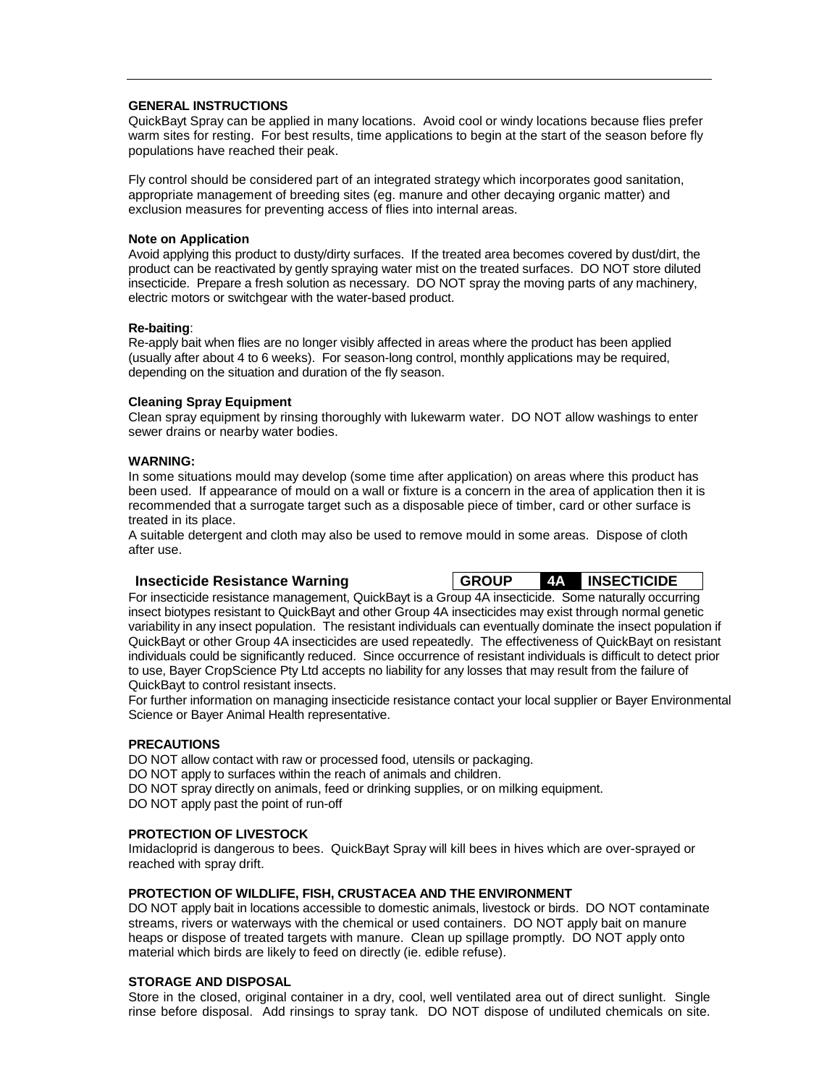### **GENERAL INSTRUCTIONS**

QuickBayt Spray can be applied in many locations. Avoid cool or windy locations because flies prefer warm sites for resting. For best results, time applications to begin at the start of the season before fly populations have reached their peak.

Fly control should be considered part of an integrated strategy which incorporates good sanitation, appropriate management of breeding sites (eg. manure and other decaying organic matter) and exclusion measures for preventing access of flies into internal areas.

### **Note on Application**

Avoid applying this product to dusty/dirty surfaces. If the treated area becomes covered by dust/dirt, the product can be reactivated by gently spraying water mist on the treated surfaces. DO NOT store diluted insecticide. Prepare a fresh solution as necessary. DO NOT spray the moving parts of any machinery, electric motors or switchgear with the water-based product.

### **Re-baiting**:

Re-apply bait when flies are no longer visibly affected in areas where the product has been applied (usually after about 4 to 6 weeks). For season-long control, monthly applications may be required, depending on the situation and duration of the fly season.

### **Cleaning Spray Equipment**

Clean spray equipment by rinsing thoroughly with lukewarm water. DO NOT allow washings to enter sewer drains or nearby water bodies.

### **WARNING:**

In some situations mould may develop (some time after application) on areas where this product has been used. If appearance of mould on a wall or fixture is a concern in the area of application then it is recommended that a surrogate target such as a disposable piece of timber, card or other surface is treated in its place.

A suitable detergent and cloth may also be used to remove mould in some areas. Dispose of cloth after use.

**Insecticide Resistance Warning GROUP 4A INSECTICIDE** 

For insecticide resistance management, QuickBayt is a Group 4A insecticide. Some naturally occurring insect biotypes resistant to QuickBayt and other Group 4A insecticides may exist through normal genetic variability in any insect population. The resistant individuals can eventually dominate the insect population if QuickBayt or other Group 4A insecticides are used repeatedly. The effectiveness of QuickBayt on resistant individuals could be significantly reduced. Since occurrence of resistant individuals is difficult to detect prior to use, Bayer CropScience Pty Ltd accepts no liability for any losses that may result from the failure of QuickBayt to control resistant insects.

For further information on managing insecticide resistance contact your local supplier or Bayer Environmental Science or Bayer Animal Health representative.

### **PRECAUTIONS**

DO NOT allow contact with raw or processed food, utensils or packaging. DO NOT apply to surfaces within the reach of animals and children. DO NOT spray directly on animals, feed or drinking supplies, or on milking equipment. DO NOT apply past the point of run-off

### **PROTECTION OF LIVESTOCK**

Imidacloprid is dangerous to bees. QuickBayt Spray will kill bees in hives which are over-sprayed or reached with spray drift.

### **PROTECTION OF WILDLIFE, FISH, CRUSTACEA AND THE ENVIRONMENT**

DO NOT apply bait in locations accessible to domestic animals, livestock or birds. DO NOT contaminate streams, rivers or waterways with the chemical or used containers. DO NOT apply bait on manure heaps or dispose of treated targets with manure. Clean up spillage promptly. DO NOT apply onto material which birds are likely to feed on directly (ie. edible refuse).

## **STORAGE AND DISPOSAL**

Store in the closed, original container in a dry, cool, well ventilated area out of direct sunlight. Single rinse before disposal. Add rinsings to spray tank. DO NOT dispose of undiluted chemicals on site.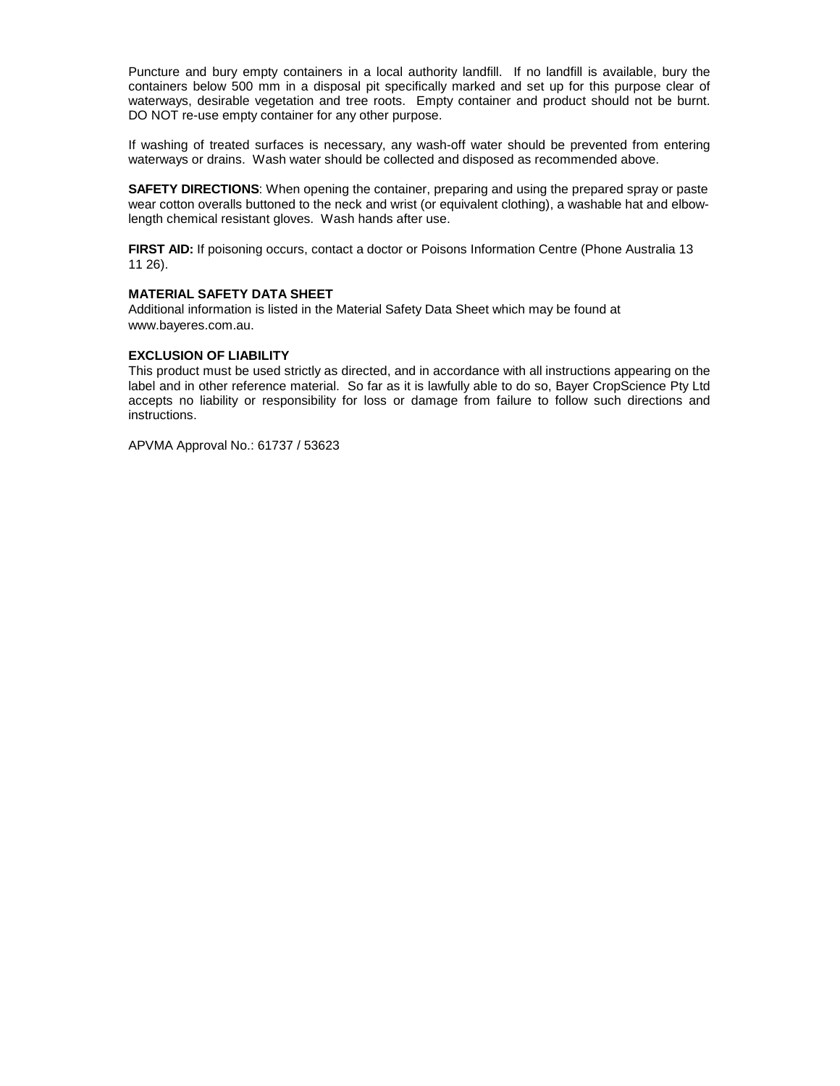Puncture and bury empty containers in a local authority landfill. If no landfill is available, bury the containers below 500 mm in a disposal pit specifically marked and set up for this purpose clear of waterways, desirable vegetation and tree roots. Empty container and product should not be burnt. DO NOT re-use empty container for any other purpose.

If washing of treated surfaces is necessary, any wash-off water should be prevented from entering waterways or drains. Wash water should be collected and disposed as recommended above.

**SAFETY DIRECTIONS**: When opening the container, preparing and using the prepared spray or paste wear cotton overalls buttoned to the neck and wrist (or equivalent clothing), a washable hat and elbowlength chemical resistant gloves. Wash hands after use.

**FIRST AID:** If poisoning occurs, contact a doctor or Poisons Information Centre (Phone Australia 13 11 26).

### **MATERIAL SAFETY DATA SHEET**

Additional information is listed in the Material Safety Data Sheet which may be found at www.bayeres.com.au.

### **EXCLUSION OF LIABILITY**

This product must be used strictly as directed, and in accordance with all instructions appearing on the label and in other reference material. So far as it is lawfully able to do so, Bayer CropScience Pty Ltd accepts no liability or responsibility for loss or damage from failure to follow such directions and instructions.

APVMA Approval No.: 61737 / 53623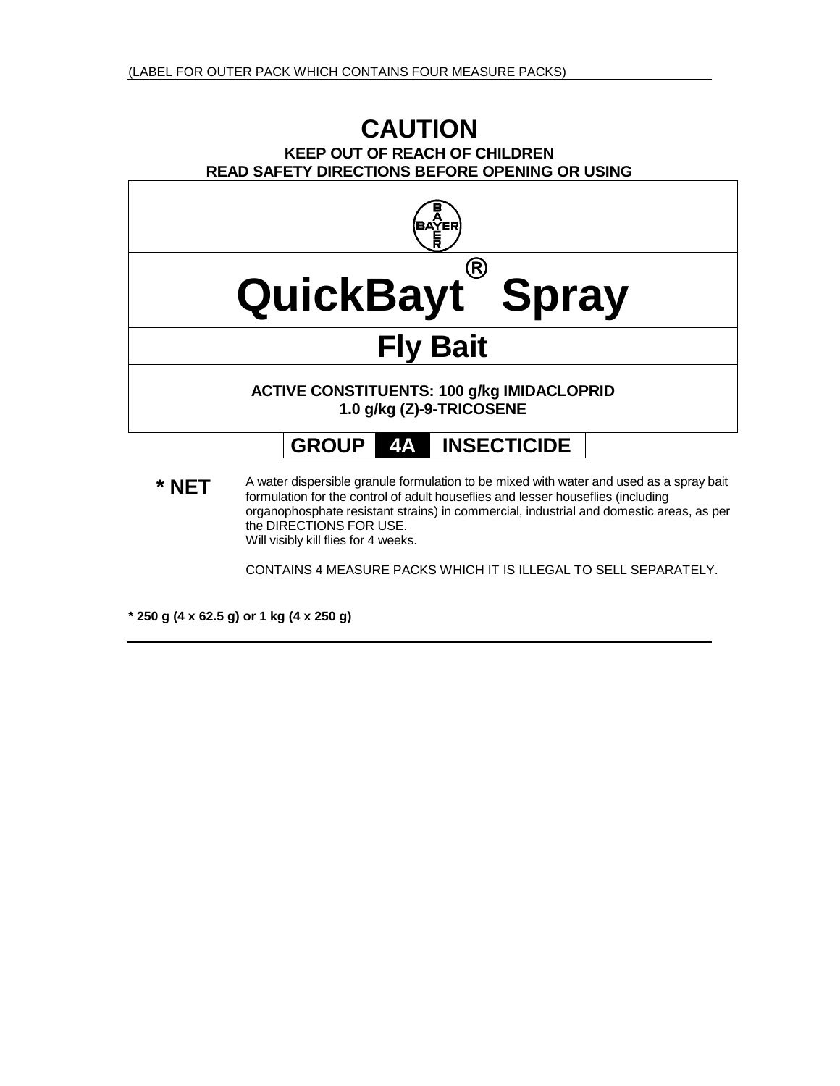# **CAUTION KEEP OUT OF REACH OF CHILDREN READ SAFETY DIRECTIONS BEFORE OPENING OR USING**



\* NET A water dispersible granule formulation to be mixed with water and used as a spray bait formulation for the control of adult houseflies and lesser houseflies (including organophosphate resistant strains) in commercial, industrial and domestic areas, as per the DIRECTIONS FOR USE. Will visibly kill flies for 4 weeks.

CONTAINS 4 MEASURE PACKS WHICH IT IS ILLEGAL TO SELL SEPARATELY.

**\* 250 g (4 x 62.5 g) or 1 kg (4 x 250 g)**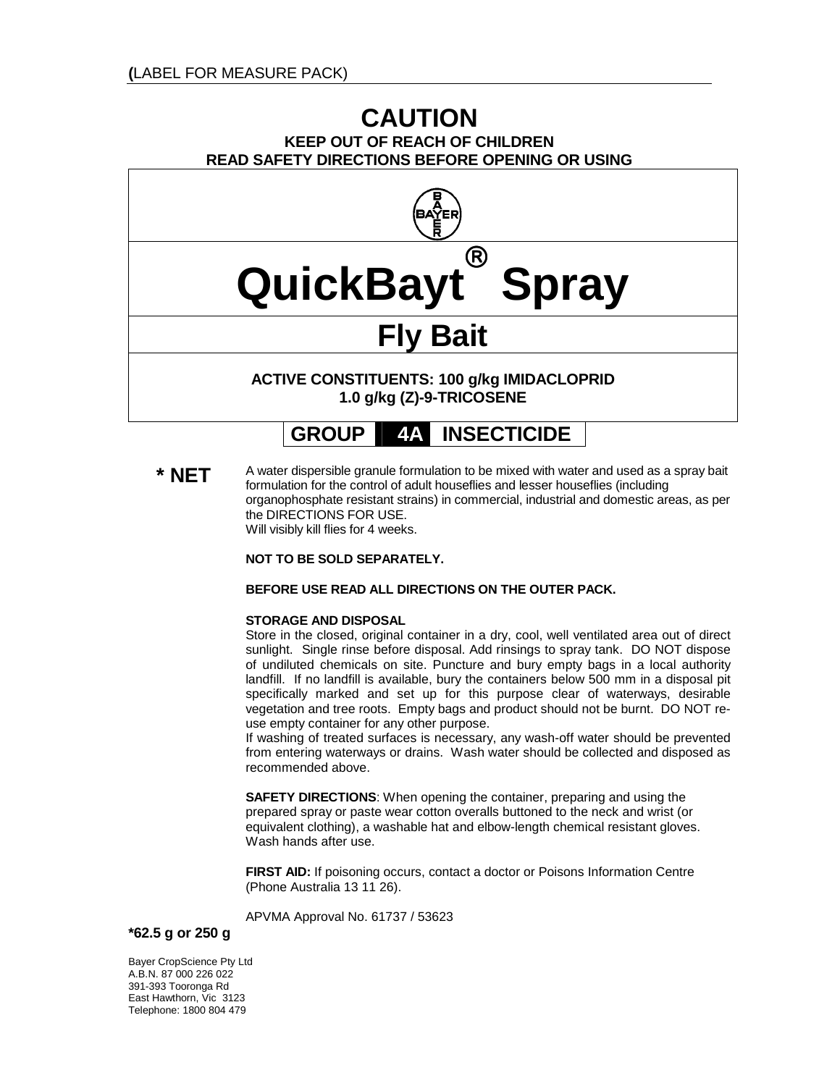# **CAUTION KEEP OUT OF REACH OF CHILDREN READ SAFETY DIRECTIONS BEFORE OPENING OR USING**



**GROUP 4A INSECTICIDE** 

**\* NFT** A water dispersible granule formulation to be mixed with water and used as a spray bait formulation for the control of adult houseflies and lesser houseflies (including organophosphate resistant strains) in commercial, industrial and domestic areas, as per the DIRECTIONS FOR USE. Will visibly kill flies for 4 weeks.

**NOT TO BE SOLD SEPARATELY.** 

### **BEFORE USE READ ALL DIRECTIONS ON THE OUTER PACK.**

### **STORAGE AND DISPOSAL**

Store in the closed, original container in a dry, cool, well ventilated area out of direct sunlight. Single rinse before disposal. Add rinsings to spray tank. DO NOT dispose of undiluted chemicals on site. Puncture and bury empty bags in a local authority landfill. If no landfill is available, bury the containers below 500 mm in a disposal pit specifically marked and set up for this purpose clear of waterways, desirable vegetation and tree roots. Empty bags and product should not be burnt. DO NOT reuse empty container for any other purpose.

If washing of treated surfaces is necessary, any wash-off water should be prevented from entering waterways or drains. Wash water should be collected and disposed as recommended above.

**SAFETY DIRECTIONS**: When opening the container, preparing and using the prepared spray or paste wear cotton overalls buttoned to the neck and wrist (or equivalent clothing), a washable hat and elbow-length chemical resistant gloves. Wash hands after use.

**FIRST AID:** If poisoning occurs, contact a doctor or Poisons Information Centre (Phone Australia 13 11 26).

APVMA Approval No. 61737 / 53623

**\*62.5 g or 250 g** 

Bayer CropScience Pty Ltd A.B.N. 87 000 226 022 391-393 Tooronga Rd East Hawthorn, Vic 3123 Telephone: 1800 804 479